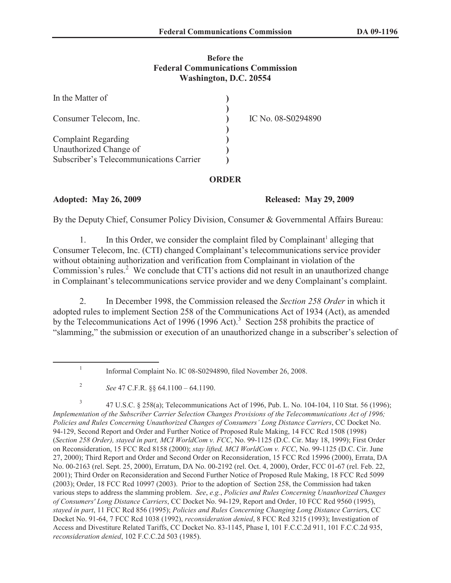## **Before the Federal Communications Commission Washington, D.C. 20554**

| In the Matter of                        |                    |
|-----------------------------------------|--------------------|
| Consumer Telecom, Inc.                  | IC No. 08-S0294890 |
| <b>Complaint Regarding</b>              |                    |
| Unauthorized Change of                  |                    |
| Subscriber's Telecommunications Carrier |                    |

## **ORDER**

**Adopted: May 26, 2009 Released: May 29, 2009**

By the Deputy Chief, Consumer Policy Division, Consumer & Governmental Affairs Bureau:

1. In this Order, we consider the complaint filed by Complainant<sup>1</sup> alleging that Consumer Telecom, Inc. (CTI) changed Complainant's telecommunications service provider without obtaining authorization and verification from Complainant in violation of the Commission's rules.<sup>2</sup> We conclude that CTI's actions did not result in an unauthorized change in Complainant's telecommunications service provider and we deny Complainant's complaint.

2. In December 1998, the Commission released the *Section 258 Order* in which it adopted rules to implement Section 258 of the Communications Act of 1934 (Act), as amended by the Telecommunications Act of 1996 (1996 Act).<sup>3</sup> Section 258 prohibits the practice of "slamming," the submission or execution of an unauthorized change in a subscriber's selection of

3 47 U.S.C. § 258(a); Telecommunications Act of 1996, Pub. L. No. 104-104, 110 Stat. 56 (1996); *Implementation of the Subscriber Carrier Selection Changes Provisions of the Telecommunications Act of 1996; Policies and Rules Concerning Unauthorized Changes of Consumers' Long Distance Carriers*, CC Docket No. 94-129, Second Report and Order and Further Notice of Proposed Rule Making, 14 FCC Rcd 1508 (1998) (*Section 258 Order), stayed in part, MCI WorldCom v. FCC*, No. 99-1125 (D.C. Cir. May 18, 1999); First Order on Reconsideration, 15 FCC Rcd 8158 (2000); *stay lifted, MCI WorldCom v. FCC*, No. 99-1125 (D.C. Cir. June 27, 2000); Third Report and Order and Second Order on Reconsideration, 15 FCC Rcd 15996 (2000), Errata, DA No. 00-2163 (rel. Sept. 25, 2000), Erratum, DA No. 00-2192 (rel. Oct. 4, 2000), Order, FCC 01-67 (rel. Feb. 22, 2001); Third Order on Reconsideration and Second Further Notice of Proposed Rule Making, 18 FCC Rcd 5099 (2003); Order, 18 FCC Rcd 10997 (2003). Prior to the adoption of Section 258, the Commission had taken various steps to address the slamming problem. *See*, *e.g.*, *Policies and Rules Concerning Unauthorized Changes of Consumers' Long Distance Carriers*, CC Docket No. 94-129, Report and Order, 10 FCC Rcd 9560 (1995), *stayed in part*, 11 FCC Rcd 856 (1995); *Policies and Rules Concerning Changing Long Distance Carrier*s, CC Docket No. 91-64, 7 FCC Rcd 1038 (1992), *reconsideration denied*, 8 FCC Rcd 3215 (1993); Investigation of Access and Divestiture Related Tariffs, CC Docket No. 83-1145, Phase I, 101 F.C.C.2d 911, 101 F.C.C.2d 935, *reconsideration denied*, 102 F.C.C.2d 503 (1985).

<sup>1</sup> Informal Complaint No. IC 08-S0294890, filed November 26, 2008.

<sup>2</sup> *See* 47 C.F.R. §§ 64.1100 – 64.1190.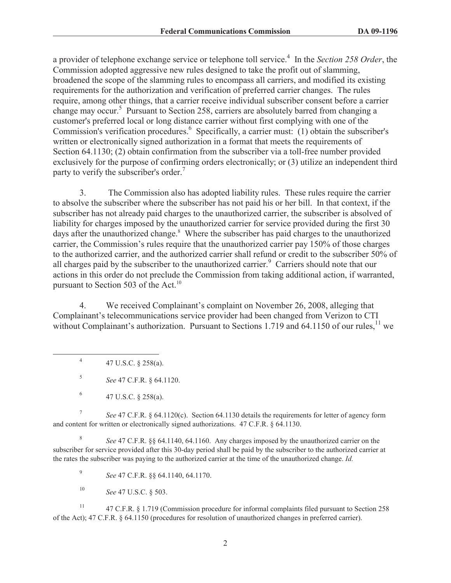a provider of telephone exchange service or telephone toll service.<sup>4</sup> In the *Section 258 Order*, the Commission adopted aggressive new rules designed to take the profit out of slamming, broadened the scope of the slamming rules to encompass all carriers, and modified its existing requirements for the authorization and verification of preferred carrier changes. The rules require, among other things, that a carrier receive individual subscriber consent before a carrier change may occur.<sup>5</sup> Pursuant to Section 258, carriers are absolutely barred from changing a customer's preferred local or long distance carrier without first complying with one of the Commission's verification procedures.<sup>6</sup> Specifically, a carrier must: (1) obtain the subscriber's written or electronically signed authorization in a format that meets the requirements of Section 64.1130; (2) obtain confirmation from the subscriber via a toll-free number provided exclusively for the purpose of confirming orders electronically; or (3) utilize an independent third party to verify the subscriber's order.<sup>7</sup>

3. The Commission also has adopted liability rules. These rules require the carrier to absolve the subscriber where the subscriber has not paid his or her bill. In that context, if the subscriber has not already paid charges to the unauthorized carrier, the subscriber is absolved of liability for charges imposed by the unauthorized carrier for service provided during the first 30 days after the unauthorized change.<sup>8</sup> Where the subscriber has paid charges to the unauthorized carrier, the Commission's rules require that the unauthorized carrier pay 150% of those charges to the authorized carrier, and the authorized carrier shall refund or credit to the subscriber 50% of all charges paid by the subscriber to the unauthorized carrier.<sup>9</sup> Carriers should note that our actions in this order do not preclude the Commission from taking additional action, if warranted, pursuant to Section 503 of the Act.<sup>10</sup>

4. We received Complainant's complaint on November 26, 2008, alleging that Complainant's telecommunications service provider had been changed from Verizon to CTI without Complainant's authorization. Pursuant to Sections 1.719 and 64.1150 of our rules,  $\frac{11}{1}$  we

4 47 U.S.C. § 258(a).

5 *See* 47 C.F.R. § 64.1120.

7 *See* 47 C.F.R. § 64.1120(c). Section 64.1130 details the requirements for letter of agency form and content for written or electronically signed authorizations. 47 C.F.R. § 64.1130.

8 *See* 47 C.F.R. §§ 64.1140, 64.1160. Any charges imposed by the unauthorized carrier on the subscriber for service provided after this 30-day period shall be paid by the subscriber to the authorized carrier at the rates the subscriber was paying to the authorized carrier at the time of the unauthorized change. *Id.*

9 *See* 47 C.F.R. §§ 64.1140, 64.1170.

<sup>10</sup> *See* 47 U.S.C. § 503.

<sup>11</sup> 47 C.F.R. § 1.719 (Commission procedure for informal complaints filed pursuant to Section 258 of the Act); 47 C.F.R. § 64.1150 (procedures for resolution of unauthorized changes in preferred carrier).

<sup>6</sup> 47 U.S.C. § 258(a).